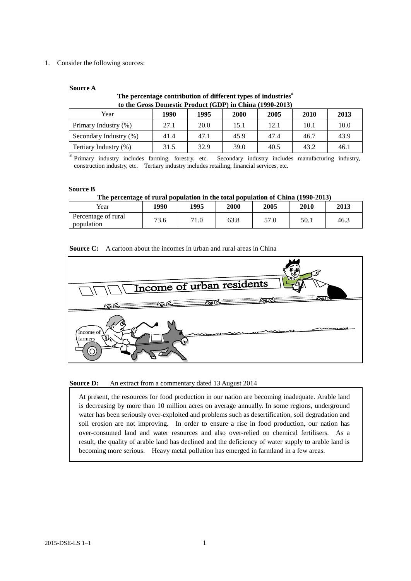## 1. Consider the following sources:

## **Source A**

# **The percentage contribution of different types of industries**# **to the Gross Domestic Product (GDP) in China (1990-2013)**

| Year                   | 1990 | 1995 | 2000 | 2005 | 2010 | 2013 |
|------------------------|------|------|------|------|------|------|
| Primary Industry (%)   | 27.1 | 20.0 | 15.1 | 12.1 | 10.1 | 10.0 |
| Secondary Industry (%) | 41.4 | 47.1 | 45.9 | 47.4 | 46.7 | 43.9 |
| Tertiary Industry (%)  | 31.5 | 32.9 | 39.0 | 40.5 | 43.2 | 46.1 |

# Primary industry includes farming, forestry, etc. Secondary industry includes manufacturing industry, construction industry, etc. Tertiary industry includes retailing, financial services, etc.

#### **Source B**

### **The percentage of rural population in the total population of China (1990-2013)**

| Year                              | 1990 | 1995 | 2000 | 2005 | 2010 | 2013 |
|-----------------------------------|------|------|------|------|------|------|
| Percentage of rural<br>population | 73.6 | 71.0 | 63.8 | 57.0 | 50.1 | 46.3 |

# **Source C:** A cartoon about the incomes in urban and rural areas in China



#### **Source D:** An extract from a commentary dated 13 August 2014

At present, the resources for food production in our nation are becoming inadequate. Arable land is decreasing by more than 10 million acres on average annually. In some regions, underground water has been seriously over-exploited and problems such as desertification, soil degradation and soil erosion are not improving. In order to ensure a rise in food production, our nation has over-consumed land and water resources and also over-relied on chemical fertilisers. As a result, the quality of arable land has declined and the deficiency of water supply to arable land is becoming more serious. Heavy metal pollution has emerged in farmland in a few areas.